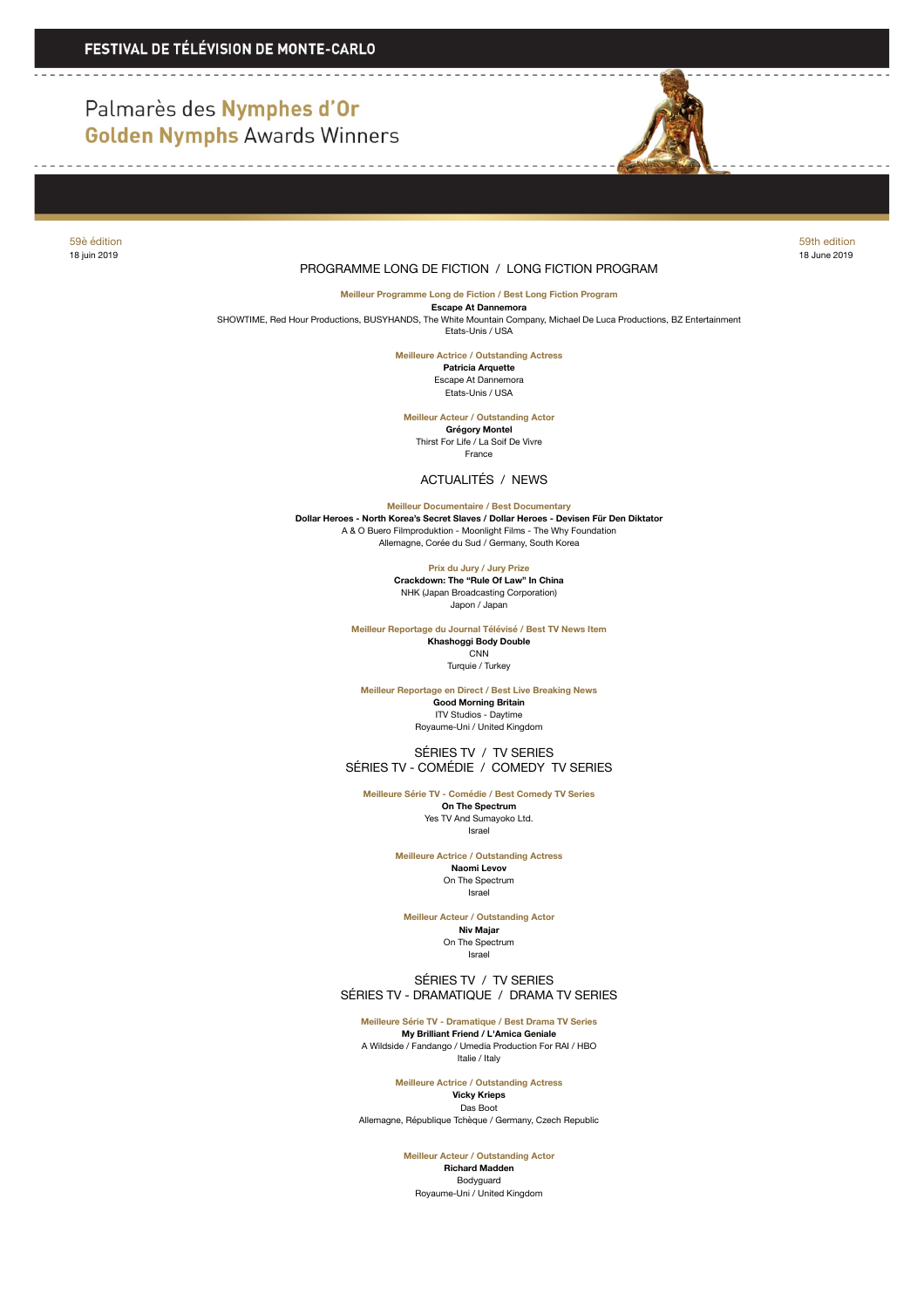# Palmarès des Nymphes d'Or **Golden Nymphs Awards Winners**



#### 59è édition 59th edition 18 juin 2019 18 June 2019

## PROGRAMME LONG DE FICTION / LONG FICTION PROGRAM

**Meilleur Programme Long de Fiction / Best Long Fiction Program**

**Escape At Dannemora**<br>SHOWTIME, Red Hour Productions, BUSYHANDS, The White Mountain Company, Michael De Luca Productions, BZ Entertainment Etats-Unis / USA

**Meilleure Actrice / Outstanding Actress**

**Patricia Arquette** Escape At Dannemora Etats-Unis / USA

**Meilleur Acteur / Outstanding Actor Grégory Montel** Thirst For Life / La Soif De Vivre France

ACTUALITÉS / NEWS

**Meilleur Documentaire / Best Documentary**

**Dollar Heroes - North Korea's Secret Slaves / Dollar Heroes - Devisen Für Den Diktator** A & O Buero Filmproduktion - Moonlight Films - The Why Foundation Allemagne, Corée du Sud / Germany, South Korea

**Prix du Jury / Jury Prize**

**Crackdown: The "Rule Of Law" In China** NHK (Japan Broadcasting Corporation) Japon / Japan

**Meilleur Reportage du Journal Télévisé / Best TV News Item Khashoggi Body Double CNN** 

Turquie / Turkey

**Meilleur Reportage en Direct / Best Live Breaking News Good Morning Britain** ITV Studios - Daytime Royaume-Uni / United Kingdom

 SÉRIES TV / TV SERIES SÉRIES TV - COMÉDIE / COMEDY TV SERIES

**Meilleure Série TV - Comédie / Best Comedy TV Series On The Spectrum**

Yes TV And Sumayoko Ltd. Israel

**Meilleure Actrice / Outstanding Actress Naomi Levov** On The Spectrum Israel

**Meilleur Acteur / Outstanding Actor**

**Niv Majar** On The Spectrum Israel

 SÉRIES TV / TV SERIES SÉRIES TV - DRAMATIQUE / DRAMA TV SERIES

**Meilleure Série TV - Dramatique / Best Drama TV Series My Brilliant Friend / L'Amica Geniale** A Wildside / Fandango / Umedia Production For RAI / HBO Italie / Italy

> **Meilleure Actrice / Outstanding Actress Vicky Krieps**

Das Boot Allemagne, République Tchèque / Germany, Czech Republic

**Meilleur Acteur / Outstanding Actor**

**Richard Madden** Bodyguard Royaume-Uni / United Kingdom